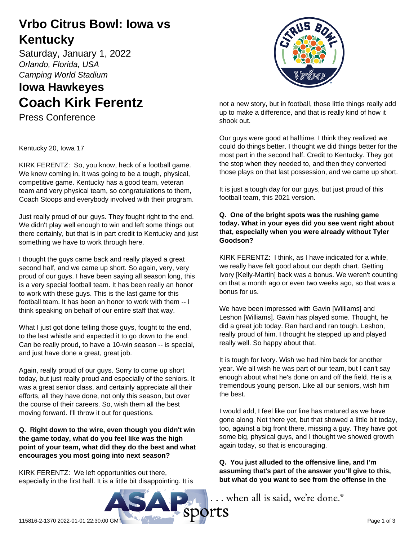## **Vrbo Citrus Bowl: Iowa vs Kentucky**

Saturday, January 1, 2022 *Orlando, Florida, USA Camping World Stadium*

# **Iowa Hawkeyes Coach Kirk Ferentz**

Press Conference

Kentucky 20, Iowa 17

KIRK FERENTZ: So, you know, heck of a football game. We knew coming in, it was going to be a tough, physical, competitive game. Kentucky has a good team, veteran team and very physical team, so congratulations to them, Coach Stoops and everybody involved with their program.

Just really proud of our guys. They fought right to the end. We didn't play well enough to win and left some things out there certainly, but that is in part credit to Kentucky and just something we have to work through here.

I thought the guys came back and really played a great second half, and we came up short. So again, very, very proud of our guys. I have been saying all season long, this is a very special football team. It has been really an honor to work with these guys. This is the last game for this football team. It has been an honor to work with them -- I think speaking on behalf of our entire staff that way.

What I just got done telling those guys, fought to the end, to the last whistle and expected it to go down to the end. Can be really proud, to have a 10-win season -- is special, and just have done a great, great job.

Again, really proud of our guys. Sorry to come up short today, but just really proud and especially of the seniors. It was a great senior class, and certainly appreciate all their efforts, all they have done, not only this season, but over the course of their careers. So, wish them all the best moving forward. I'll throw it out for questions.

## **Q. Right down to the wire, even though you didn't win the game today, what do you feel like was the high point of your team, what did they do the best and what encourages you most going into next season?**

KIRK FERENTZ: We left opportunities out there, especially in the first half. It is a little bit disappointing. It is



not a new story, but in football, those little things really add up to make a difference, and that is really kind of how it shook out.

Our guys were good at halftime. I think they realized we could do things better. I thought we did things better for the most part in the second half. Credit to Kentucky. They got the stop when they needed to, and then they converted those plays on that last possession, and we came up short.

It is just a tough day for our guys, but just proud of this football team, this 2021 version.

## **Q. One of the bright spots was the rushing game today. What in your eyes did you see went right about that, especially when you were already without Tyler Goodson?**

KIRK FERENTZ: I think, as I have indicated for a while, we really have felt good about our depth chart. Getting Ivory [Kelly-Martin] back was a bonus. We weren't counting on that a month ago or even two weeks ago, so that was a bonus for us.

We have been impressed with Gavin [Williams] and Leshon [Williams]. Gavin has played some. Thought, he did a great job today. Ran hard and ran tough. Leshon, really proud of him. I thought he stepped up and played really well. So happy about that.

It is tough for Ivory. Wish we had him back for another year. We all wish he was part of our team, but I can't say enough about what he's done on and off the field. He is a tremendous young person. Like all our seniors, wish him the best.

I would add, I feel like our line has matured as we have gone along. Not there yet, but that showed a little bit today, too, against a big front there, missing a guy. They have got some big, physical guys, and I thought we showed growth again today, so that is encouraging.

**Q. You just alluded to the offensive line, and I'm assuming that's part of the answer you'll give to this, but what do you want to see from the offense in the**

... when all is said, we're done.

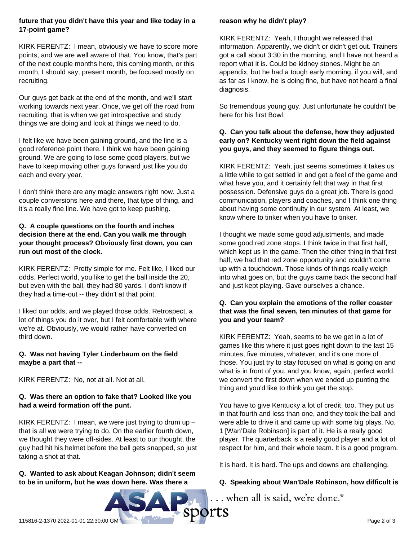### **future that you didn't have this year and like today in a 17-point game?**

KIRK FERENTZ: I mean, obviously we have to score more points, and we are well aware of that. You know, that's part of the next couple months here, this coming month, or this month, I should say, present month, be focused mostly on recruiting.

Our guys get back at the end of the month, and we'll start working towards next year. Once, we get off the road from recruiting, that is when we get introspective and study things we are doing and look at things we need to do.

I felt like we have been gaining ground, and the line is a good reference point there. I think we have been gaining ground. We are going to lose some good players, but we have to keep moving other guys forward just like you do each and every year.

I don't think there are any magic answers right now. Just a couple conversions here and there, that type of thing, and it's a really fine line. We have got to keep pushing.

## **Q. A couple questions on the fourth and inches decision there at the end. Can you walk me through your thought process? Obviously first down, you can run out most of the clock.**

KIRK FERENTZ: Pretty simple for me. Felt like, I liked our odds. Perfect world, you like to get the ball inside the 20, but even with the ball, they had 80 yards. I don't know if they had a time-out -- they didn't at that point.

I liked our odds, and we played those odds. Retrospect, a lot of things you do it over, but I felt comfortable with where we're at. Obviously, we would rather have converted on third down.

#### **Q. Was not having Tyler Linderbaum on the field maybe a part that --**

KIRK FERENTZ: No, not at all. Not at all.

## **Q. Was there an option to fake that? Looked like you had a weird formation off the punt.**

KIRK FERENTZ: I mean, we were just trying to drum up  $$ that is all we were trying to do. On the earlier fourth down, we thought they were off-sides. At least to our thought, the guy had hit his helmet before the ball gets snapped, so just taking a shot at that.

## **Q. Wanted to ask about Keagan Johnson; didn't seem to be in uniform, but he was down here. Was there a**

## **reason why he didn't play?**

KIRK FERENTZ: Yeah, I thought we released that information. Apparently, we didn't or didn't get out. Trainers got a call about 3:30 in the morning, and I have not heard a report what it is. Could be kidney stones. Might be an appendix, but he had a tough early morning, if you will, and as far as I know, he is doing fine, but have not heard a final diagnosis.

So tremendous young guy. Just unfortunate he couldn't be here for his first Bowl.

## **Q. Can you talk about the defense, how they adjusted early on? Kentucky went right down the field against you guys, and they seemed to figure things out.**

KIRK FERENTZ: Yeah, just seems sometimes it takes us a little while to get settled in and get a feel of the game and what have you, and it certainly felt that way in that first possession. Defensive guys do a great job. There is good communication, players and coaches, and I think one thing about having some continuity in our system. At least, we know where to tinker when you have to tinker.

I thought we made some good adjustments, and made some good red zone stops. I think twice in that first half, which kept us in the game. Then the other thing in that first half, we had that red zone opportunity and couldn't come up with a touchdown. Those kinds of things really weigh into what goes on, but the guys came back the second half and just kept playing. Gave ourselves a chance.

## **Q. Can you explain the emotions of the roller coaster that was the final seven, ten minutes of that game for you and your team?**

KIRK FERENTZ: Yeah, seems to be we get in a lot of games like this where it just goes right down to the last 15 minutes, five minutes, whatever, and it's one more of those. You just try to stay focused on what is going on and what is in front of you, and you know, again, perfect world, we convert the first down when we ended up punting the thing and you'd like to think you get the stop.

You have to give Kentucky a lot of credit, too. They put us in that fourth and less than one, and they took the ball and were able to drive it and came up with some big plays. No. 1 [Wan'Dale Robinson] is part of it. He is a really good player. The quarterback is a really good player and a lot of respect for him, and their whole team. It is a good program.

It is hard. It is hard. The ups and downs are challenging.

## **Q. Speaking about Wan'Dale Robinson, how difficult is**

... when all is said, we're done.®